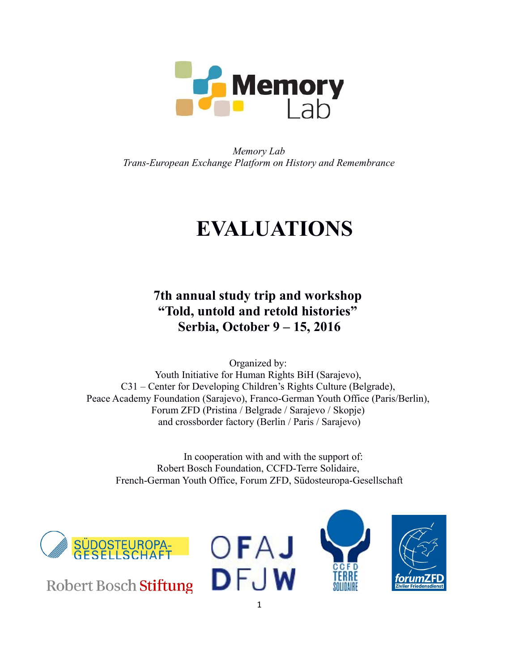

*Memory Lab Trans-European Exchange Platform on History and Remembrance*

# **EVALUATIONS**

**7th annual study trip and workshop "Told, untold and retold histories" Serbia, October 9 – 15, 2016** 

Organized by: Youth Initiative for Human Rights BiH (Sarajevo), C31 – Center for Developing Children's Rights Culture (Belgrade), Peace Academy Foundation (Sarajevo), Franco-German Youth Office (Paris/Berlin), Forum ZFD (Pristina / Belgrade / Sarajevo / Skopje) and crossborder factory (Berlin / Paris / Sarajevo)

In cooperation with and with the support of: Robert Bosch Foundation, CCFD-Terre Solidaire, French-German Youth Office, Forum ZFD, Südosteuropa-Gesellschaft



**Robert Bosch Stiftung** 





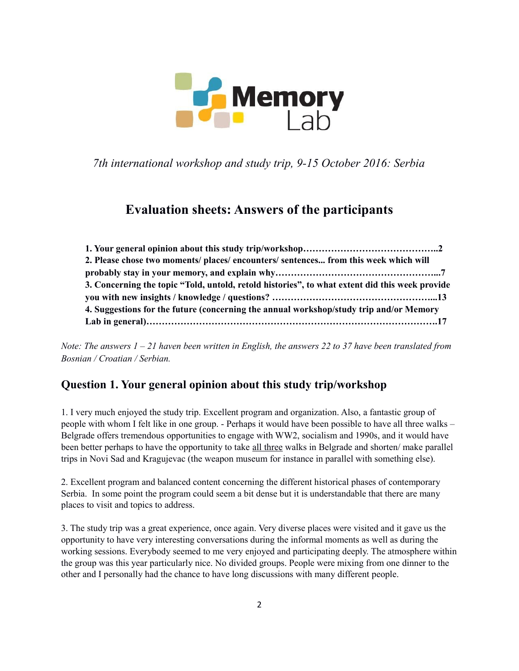

*7th international workshop and study trip, 9-15 October 2016: Serbia*

## **Evaluation sheets: Answers of the participants**

| 2. Please chose two moments/ places/ encounters/ sentences from this week which will           |  |
|------------------------------------------------------------------------------------------------|--|
|                                                                                                |  |
| 3. Concerning the topic "Told, untold, retold histories", to what extent did this week provide |  |
|                                                                                                |  |
| 4. Suggestions for the future (concerning the annual workshop/study trip and/or Memory         |  |
|                                                                                                |  |

*Note: The answers 1 – 21 haven been written in English, the answers 22 to 37 have been translated from Bosnian / Croatian / Serbian.*

#### **Question 1. Your general opinion about this study trip/workshop**

1. I very much enjoyed the study trip. Excellent program and organization. Also, a fantastic group of people with whom I felt like in one group. - Perhaps it would have been possible to have all three walks – Belgrade offers tremendous opportunities to engage with WW2, socialism and 1990s, and it would have been better perhaps to have the opportunity to take all three walks in Belgrade and shorten/ make parallel trips in Novi Sad and Kragujevac (the weapon museum for instance in parallel with something else).

2. Excellent program and balanced content concerning the different historical phases of contemporary Serbia. In some point the program could seem a bit dense but it is understandable that there are many places to visit and topics to address.

3. The study trip was a great experience, once again. Very diverse places were visited and it gave us the opportunity to have very interesting conversations during the informal moments as well as during the working sessions. Everybody seemed to me very enjoyed and participating deeply. The atmosphere within the group was this year particularly nice. No divided groups. People were mixing from one dinner to the other and I personally had the chance to have long discussions with many different people.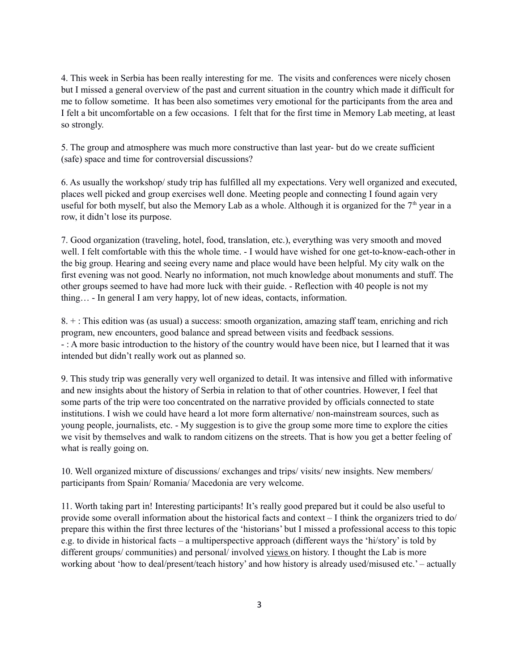4. This week in Serbia has been really interesting for me. The visits and conferences were nicely chosen but I missed a general overview of the past and current situation in the country which made it difficult for me to follow sometime. It has been also sometimes very emotional for the participants from the area and I felt a bit uncomfortable on a few occasions. I felt that for the first time in Memory Lab meeting, at least so strongly.

5. The group and atmosphere was much more constructive than last year- but do we create sufficient (safe) space and time for controversial discussions?

6. As usually the workshop/ study trip has fulfilled all my expectations. Very well organized and executed, places well picked and group exercises well done. Meeting people and connecting I found again very useful for both myself, but also the Memory Lab as a whole. Although it is organized for the  $7<sup>th</sup>$  year in a row, it didn't lose its purpose.

7. Good organization (traveling, hotel, food, translation, etc.), everything was very smooth and moved well. I felt comfortable with this the whole time. - I would have wished for one get-to-know-each-other in the big group. Hearing and seeing every name and place would have been helpful. My city walk on the first evening was not good. Nearly no information, not much knowledge about monuments and stuff. The other groups seemed to have had more luck with their guide. - Reflection with 40 people is not my thing… - In general I am very happy, lot of new ideas, contacts, information.

8. + : This edition was (as usual) a success: smooth organization, amazing staff team, enriching and rich program, new encounters, good balance and spread between visits and feedback sessions. - : A more basic introduction to the history of the country would have been nice, but I learned that it was intended but didn't really work out as planned so.

9. This study trip was generally very well organized to detail. It was intensive and filled with informative and new insights about the history of Serbia in relation to that of other countries. However, I feel that some parts of the trip were too concentrated on the narrative provided by officials connected to state institutions. I wish we could have heard a lot more form alternative/ non-mainstream sources, such as young people, journalists, etc. - My suggestion is to give the group some more time to explore the cities we visit by themselves and walk to random citizens on the streets. That is how you get a better feeling of what is really going on.

10. Well organized mixture of discussions/ exchanges and trips/ visits/ new insights. New members/ participants from Spain/ Romania/ Macedonia are very welcome.

11. Worth taking part in! Interesting participants! It's really good prepared but it could be also useful to provide some overall information about the historical facts and context – I think the organizers tried to do/ prepare this within the first three lectures of the 'historians' but I missed a professional access to this topic e.g. to divide in historical facts – a multiperspective approach (different ways the 'hi/story' is told by different groups/ communities) and personal/ involved views on history. I thought the Lab is more working about 'how to deal/present/teach history' and how history is already used/misused etc.' – actually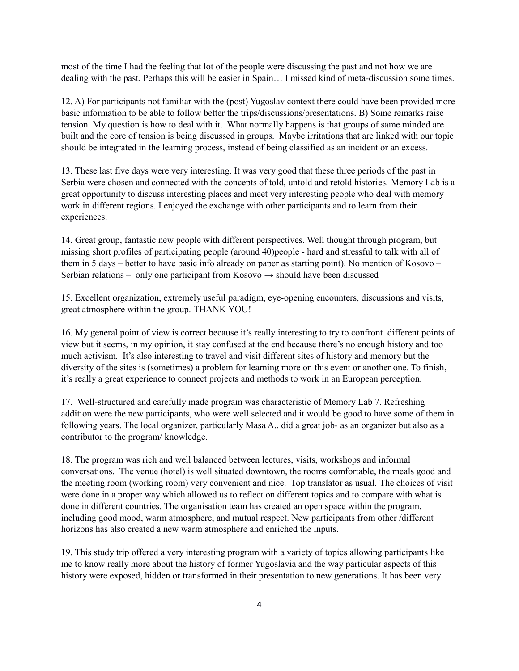most of the time I had the feeling that lot of the people were discussing the past and not how we are dealing with the past. Perhaps this will be easier in Spain… I missed kind of meta-discussion some times.

12. A) For participants not familiar with the (post) Yugoslav context there could have been provided more basic information to be able to follow better the trips/discussions/presentations. B) Some remarks raise tension. My question is how to deal with it. What normally happens is that groups of same minded are built and the core of tension is being discussed in groups. Maybe irritations that are linked with our topic should be integrated in the learning process, instead of being classified as an incident or an excess.

13. These last five days were very interesting. It was very good that these three periods of the past in Serbia were chosen and connected with the concepts of told, untold and retold histories. Memory Lab is a great opportunity to discuss interesting places and meet very interesting people who deal with memory work in different regions. I enjoyed the exchange with other participants and to learn from their experiences.

14. Great group, fantastic new people with different perspectives. Well thought through program, but missing short profiles of participating people (around 40)people - hard and stressful to talk with all of them in 5 days – better to have basic info already on paper as starting point). No mention of Kosovo – Serbian relations – only one participant from Kosovo  $\rightarrow$  should have been discussed

15. Excellent organization, extremely useful paradigm, eye-opening encounters, discussions and visits, great atmosphere within the group. THANK YOU!

16. My general point of view is correct because it's really interesting to try to confront different points of view but it seems, in my opinion, it stay confused at the end because there's no enough history and too much activism. It's also interesting to travel and visit different sites of history and memory but the diversity of the sites is (sometimes) a problem for learning more on this event or another one. To finish, it's really a great experience to connect projects and methods to work in an European perception.

17. Well-structured and carefully made program was characteristic of Memory Lab 7. Refreshing addition were the new participants, who were well selected and it would be good to have some of them in following years. The local organizer, particularly Masa A., did a great job- as an organizer but also as a contributor to the program/ knowledge.

18. The program was rich and well balanced between lectures, visits, workshops and informal conversations. The venue (hotel) is well situated downtown, the rooms comfortable, the meals good and the meeting room (working room) very convenient and nice. Top translator as usual. The choices of visit were done in a proper way which allowed us to reflect on different topics and to compare with what is done in different countries. The organisation team has created an open space within the program, including good mood, warm atmosphere, and mutual respect. New participants from other /different horizons has also created a new warm atmosphere and enriched the inputs.

19. This study trip offered a very interesting program with a variety of topics allowing participants like me to know really more about the history of former Yugoslavia and the way particular aspects of this history were exposed, hidden or transformed in their presentation to new generations. It has been very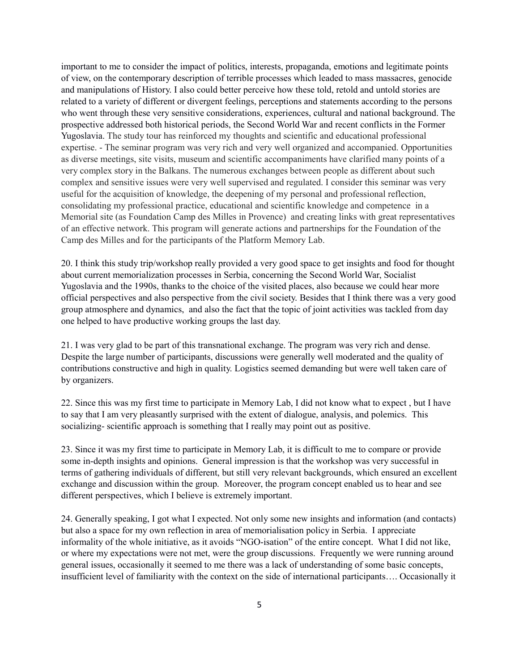important to me to consider the impact of politics, interests, propaganda, emotions and legitimate points of view, on the contemporary description of terrible processes which leaded to mass massacres, genocide and manipulations of History. I also could better perceive how these told, retold and untold stories are related to a variety of different or divergent feelings, perceptions and statements according to the persons who went through these very sensitive considerations, experiences, cultural and national background. The prospective addressed both historical periods, the Second World War and recent conflicts in the Former Yugoslavia. The study tour has reinforced my thoughts and scientific and educational professional expertise. - The seminar program was very rich and very well organized and accompanied. Opportunities as diverse meetings, site visits, museum and scientific accompaniments have clarified many points of a very complex story in the Balkans. The numerous exchanges between people as different about such complex and sensitive issues were very well supervised and regulated. I consider this seminar was very useful for the acquisition of knowledge, the deepening of my personal and professional reflection, consolidating my professional practice, educational and scientific knowledge and competence in a Memorial site (as Foundation Camp des Milles in Provence) and creating links with great representatives of an effective network. This program will generate actions and partnerships for the Foundation of the Camp des Milles and for the participants of the Platform Memory Lab.

20. I think this study trip/workshop really provided a very good space to get insights and food for thought about current memorialization processes in Serbia, concerning the Second World War, Socialist Yugoslavia and the 1990s, thanks to the choice of the visited places, also because we could hear more official perspectives and also perspective from the civil society. Besides that I think there was a very good group atmosphere and dynamics, and also the fact that the topic of joint activities was tackled from day one helped to have productive working groups the last day.

21. I was very glad to be part of this transnational exchange. The program was very rich and dense. Despite the large number of participants, discussions were generally well moderated and the quality of contributions constructive and high in quality. Logistics seemed demanding but were well taken care of by organizers.

22. Since this was my first time to participate in Memory Lab, I did not know what to expect , but I have to say that I am very pleasantly surprised with the extent of dialogue, analysis, and polemics. This socializing- scientific approach is something that I really may point out as positive.

23. Since it was my first time to participate in Memory Lab, it is difficult to me to compare or provide some in-depth insights and opinions. General impression is that the workshop was very successful in terms of gathering individuals of different, but still very relevant backgrounds, which ensured an excellent exchange and discussion within the group. Moreover, the program concept enabled us to hear and see different perspectives, which I believe is extremely important.

24. Generally speaking, I got what I expected. Not only some new insights and information (and contacts) but also a space for my own reflection in area of memorialisation policy in Serbia. I appreciate informality of the whole initiative, as it avoids "NGO-isation" of the entire concept. What I did not like, or where my expectations were not met, were the group discussions. Frequently we were running around general issues, occasionally it seemed to me there was a lack of understanding of some basic concepts, insufficient level of familiarity with the context on the side of international participants…. Occasionally it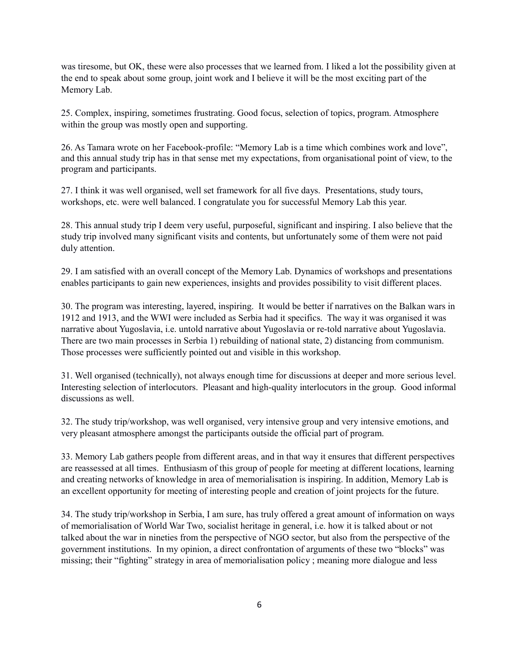was tiresome, but OK, these were also processes that we learned from. I liked a lot the possibility given at the end to speak about some group, joint work and I believe it will be the most exciting part of the Memory Lab.

25. Complex, inspiring, sometimes frustrating. Good focus, selection of topics, program. Atmosphere within the group was mostly open and supporting.

26. As Tamara wrote on her Facebook-profile: "Memory Lab is a time which combines work and love", and this annual study trip has in that sense met my expectations, from organisational point of view, to the program and participants.

27. I think it was well organised, well set framework for all five days. Presentations, study tours, workshops, etc. were well balanced. I congratulate you for successful Memory Lab this year.

28. This annual study trip I deem very useful, purposeful, significant and inspiring. I also believe that the study trip involved many significant visits and contents, but unfortunately some of them were not paid duly attention.

29. I am satisfied with an overall concept of the Memory Lab. Dynamics of workshops and presentations enables participants to gain new experiences, insights and provides possibility to visit different places.

30. The program was interesting, layered, inspiring. It would be better if narratives on the Balkan wars in 1912 and 1913, and the WWI were included as Serbia had it specifics. The way it was organised it was narrative about Yugoslavia, i.e. untold narrative about Yugoslavia or re-told narrative about Yugoslavia. There are two main processes in Serbia 1) rebuilding of national state, 2) distancing from communism. Those processes were sufficiently pointed out and visible in this workshop.

31. Well organised (technically), not always enough time for discussions at deeper and more serious level. Interesting selection of interlocutors. Pleasant and high-quality interlocutors in the group. Good informal discussions as well.

32. The study trip/workshop, was well organised, very intensive group and very intensive emotions, and very pleasant atmosphere amongst the participants outside the official part of program.

33. Memory Lab gathers people from different areas, and in that way it ensures that different perspectives are reassessed at all times. Enthusiasm of this group of people for meeting at different locations, learning and creating networks of knowledge in area of memorialisation is inspiring. In addition, Memory Lab is an excellent opportunity for meeting of interesting people and creation of joint projects for the future.

34. The study trip/workshop in Serbia, I am sure, has truly offered a great amount of information on ways of memorialisation of World War Two, socialist heritage in general, i.e. how it is talked about or not talked about the war in nineties from the perspective of NGO sector, but also from the perspective of the government institutions. In my opinion, a direct confrontation of arguments of these two "blocks" was missing; their "fighting" strategy in area of memorialisation policy ; meaning more dialogue and less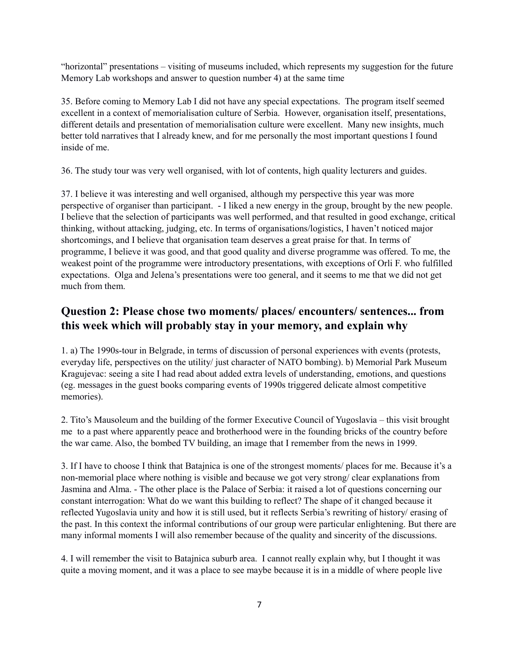"horizontal" presentations – visiting of museums included, which represents my suggestion for the future Memory Lab workshops and answer to question number 4) at the same time

35. Before coming to Memory Lab I did not have any special expectations. The program itself seemed excellent in a context of memorialisation culture of Serbia. However, organisation itself, presentations, different details and presentation of memorialisation culture were excellent. Many new insights, much better told narratives that I already knew, and for me personally the most important questions I found inside of me.

36. The study tour was very well organised, with lot of contents, high quality lecturers and guides.

37. I believe it was interesting and well organised, although my perspective this year was more perspective of organiser than participant. - I liked a new energy in the group, brought by the new people. I believe that the selection of participants was well performed, and that resulted in good exchange, critical thinking, without attacking, judging, etc. In terms of organisations/logistics, I haven't noticed major shortcomings, and I believe that organisation team deserves a great praise for that. In terms of programme, I believe it was good, and that good quality and diverse programme was offered. To me, the weakest point of the programme were introductory presentations, with exceptions of Orli F. who fulfilled expectations. Olga and Jelena's presentations were too general, and it seems to me that we did not get much from them.

#### **Question 2: Please chose two moments/ places/ encounters/ sentences... from this week which will probably stay in your memory, and explain why**

1. a) The 1990s-tour in Belgrade, in terms of discussion of personal experiences with events (protests, everyday life, perspectives on the utility/ just character of NATO bombing). b) Memorial Park Museum Kragujevac: seeing a site I had read about added extra levels of understanding, emotions, and questions (eg. messages in the guest books comparing events of 1990s triggered delicate almost competitive memories).

2. Tito's Mausoleum and the building of the former Executive Council of Yugoslavia – this visit brought me to a past where apparently peace and brotherhood were in the founding bricks of the country before the war came. Also, the bombed TV building, an image that I remember from the news in 1999.

3. If I have to choose I think that Batajnica is one of the strongest moments/ places for me. Because it's a non-memorial place where nothing is visible and because we got very strong/ clear explanations from Jasmina and Alma. - The other place is the Palace of Serbia: it raised a lot of questions concerning our constant interrogation: What do we want this building to reflect? The shape of it changed because it reflected Yugoslavia unity and how it is still used, but it reflects Serbia's rewriting of history/ erasing of the past. In this context the informal contributions of our group were particular enlightening. But there are many informal moments I will also remember because of the quality and sincerity of the discussions.

4. I will remember the visit to Batajnica suburb area. I cannot really explain why, but I thought it was quite a moving moment, and it was a place to see maybe because it is in a middle of where people live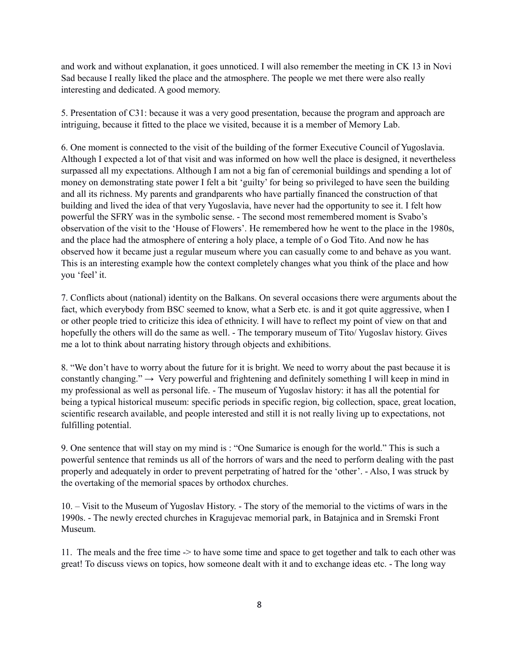and work and without explanation, it goes unnoticed. I will also remember the meeting in CK 13 in Novi Sad because I really liked the place and the atmosphere. The people we met there were also really interesting and dedicated. A good memory.

5. Presentation of C31: because it was a very good presentation, because the program and approach are intriguing, because it fitted to the place we visited, because it is a member of Memory Lab.

6. One moment is connected to the visit of the building of the former Executive Council of Yugoslavia. Although I expected a lot of that visit and was informed on how well the place is designed, it nevertheless surpassed all my expectations. Although I am not a big fan of ceremonial buildings and spending a lot of money on demonstrating state power I felt a bit 'guilty' for being so privileged to have seen the building and all its richness. My parents and grandparents who have partially financed the construction of that building and lived the idea of that very Yugoslavia, have never had the opportunity to see it. I felt how powerful the SFRY was in the symbolic sense. - The second most remembered moment is Svabo's observation of the visit to the 'House of Flowers'. He remembered how he went to the place in the 1980s, and the place had the atmosphere of entering a holy place, a temple of o God Tito. And now he has observed how it became just a regular museum where you can casually come to and behave as you want. This is an interesting example how the context completely changes what you think of the place and how you 'feel' it.

7. Conflicts about (national) identity on the Balkans. On several occasions there were arguments about the fact, which everybody from BSC seemed to know, what a Serb etc. is and it got quite aggressive, when I or other people tried to criticize this idea of ethnicity. I will have to reflect my point of view on that and hopefully the others will do the same as well. - The temporary museum of Tito/ Yugoslav history. Gives me a lot to think about narrating history through objects and exhibitions.

8. "We don't have to worry about the future for it is bright. We need to worry about the past because it is constantly changing."  $\rightarrow$  Very powerful and frightening and definitely something I will keep in mind in my professional as well as personal life. - The museum of Yugoslav history: it has all the potential for being a typical historical museum: specific periods in specific region, big collection, space, great location, scientific research available, and people interested and still it is not really living up to expectations, not fulfilling potential.

9. One sentence that will stay on my mind is : "One Sumarice is enough for the world." This is such a powerful sentence that reminds us all of the horrors of wars and the need to perform dealing with the past properly and adequately in order to prevent perpetrating of hatred for the 'other'. - Also, I was struck by the overtaking of the memorial spaces by orthodox churches.

10. – Visit to the Museum of Yugoslav History. - The story of the memorial to the victims of wars in the 1990s. - The newly erected churches in Kragujevac memorial park, in Batajnica and in Sremski Front Museum.

11. The meals and the free time -> to have some time and space to get together and talk to each other was great! To discuss views on topics, how someone dealt with it and to exchange ideas etc. - The long way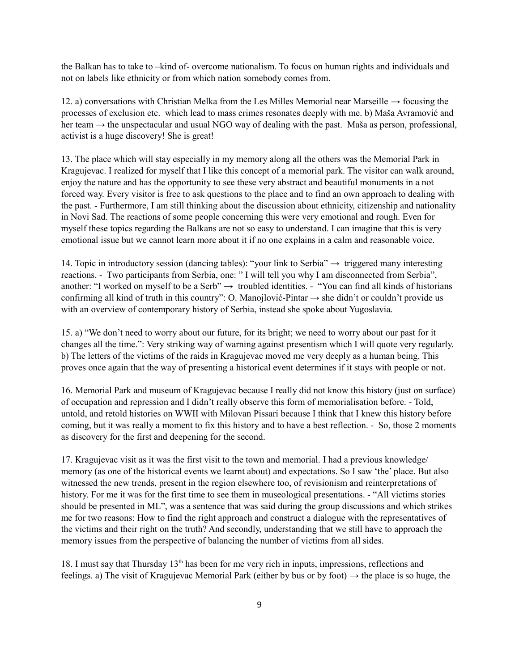the Balkan has to take to –kind of- overcome nationalism. To focus on human rights and individuals and not on labels like ethnicity or from which nation somebody comes from.

12. a) conversations with Christian Melka from the Les Milles Memorial near Marseille  $\rightarrow$  focusing the processes of exclusion etc. which lead to mass crimes resonates deeply with me. b) Maša Avramović and her team → the unspectacular and usual NGO way of dealing with the past. Maša as person, professional, activist is a huge discovery! She is great!

13. The place which will stay especially in my memory along all the others was the Memorial Park in Kragujevac. I realized for myself that I like this concept of a memorial park. The visitor can walk around, enjoy the nature and has the opportunity to see these very abstract and beautiful monuments in a not forced way. Every visitor is free to ask questions to the place and to find an own approach to dealing with the past. - Furthermore, I am still thinking about the discussion about ethnicity, citizenship and nationality in Novi Sad. The reactions of some people concerning this were very emotional and rough. Even for myself these topics regarding the Balkans are not so easy to understand. I can imagine that this is very emotional issue but we cannot learn more about it if no one explains in a calm and reasonable voice.

14. Topic in introductory session (dancing tables): "your link to Serbia" → triggered many interesting reactions. - Two participants from Serbia, one: " I will tell you why I am disconnected from Serbia", another: "I worked on myself to be a Serb"  $\rightarrow$  troubled identities. - "You can find all kinds of historians" confirming all kind of truth in this country": O. Manojlović-Pintar → she didn't or couldn't provide us with an overview of contemporary history of Serbia, instead she spoke about Yugoslavia.

15. a) "We don't need to worry about our future, for its bright; we need to worry about our past for it changes all the time.": Very striking way of warning against presentism which I will quote very regularly. b) The letters of the victims of the raids in Kragujevac moved me very deeply as a human being. This proves once again that the way of presenting a historical event determines if it stays with people or not.

16. Memorial Park and museum of Kragujevac because I really did not know this history (just on surface) of occupation and repression and I didn't really observe this form of memorialisation before. - Told, untold, and retold histories on WWII with Milovan Pissari because I think that I knew this history before coming, but it was really a moment to fix this history and to have a best reflection. - So, those 2 moments as discovery for the first and deepening for the second.

17. Kragujevac visit as it was the first visit to the town and memorial. I had a previous knowledge/ memory (as one of the historical events we learnt about) and expectations. So I saw 'the' place. But also witnessed the new trends, present in the region elsewhere too, of revisionism and reinterpretations of history. For me it was for the first time to see them in museological presentations. - "All victims stories" should be presented in ML", was a sentence that was said during the group discussions and which strikes me for two reasons: How to find the right approach and construct a dialogue with the representatives of the victims and their right on the truth? And secondly, understanding that we still have to approach the memory issues from the perspective of balancing the number of victims from all sides.

18. I must say that Thursday  $13<sup>th</sup>$  has been for me very rich in inputs, impressions, reflections and feelings. a) The visit of Kragujevac Memorial Park (either by bus or by foot)  $\rightarrow$  the place is so huge, the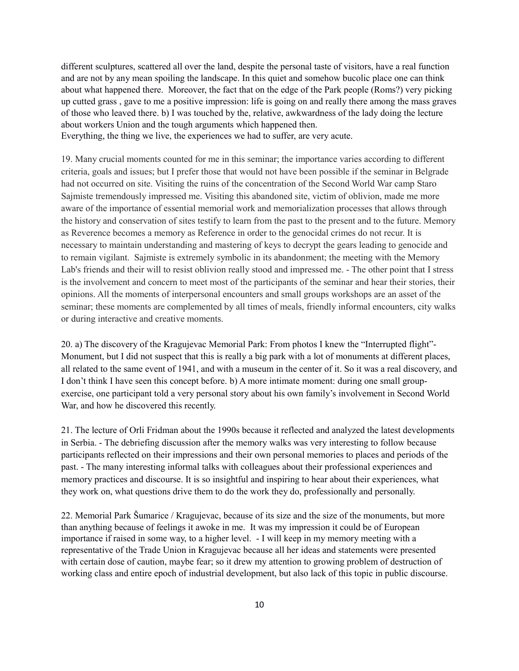different sculptures, scattered all over the land, despite the personal taste of visitors, have a real function and are not by any mean spoiling the landscape. In this quiet and somehow bucolic place one can think about what happened there. Moreover, the fact that on the edge of the Park people (Roms?) very picking up cutted grass , gave to me a positive impression: life is going on and really there among the mass graves of those who leaved there. b) I was touched by the, relative, awkwardness of the lady doing the lecture about workers Union and the tough arguments which happened then.

Everything, the thing we live, the experiences we had to suffer, are very acute.

19. Many crucial moments counted for me in this seminar; the importance varies according to different criteria, goals and issues; but I prefer those that would not have been possible if the seminar in Belgrade had not occurred on site. Visiting the ruins of the concentration of the Second World War camp Staro Sajmiste tremendously impressed me. Visiting this abandoned site, victim of oblivion, made me more aware of the importance of essential memorial work and memorialization processes that allows through the history and conservation of sites testify to learn from the past to the present and to the future. Memory as Reverence becomes a memory as Reference in order to the genocidal crimes do not recur. It is necessary to maintain understanding and mastering of keys to decrypt the gears leading to genocide and to remain vigilant. Sajmiste is extremely symbolic in its abandonment; the meeting with the Memory Lab's friends and their will to resist oblivion really stood and impressed me. - The other point that I stress is the involvement and concern to meet most of the participants of the seminar and hear their stories, their opinions. All the moments of interpersonal encounters and small groups workshops are an asset of the seminar; these moments are complemented by all times of meals, friendly informal encounters, city walks or during interactive and creative moments.

20. a) The discovery of the Kragujevac Memorial Park: From photos I knew the "Interrupted flight"- Monument, but I did not suspect that this is really a big park with a lot of monuments at different places, all related to the same event of 1941, and with a museum in the center of it. So it was a real discovery, and I don't think I have seen this concept before. b) A more intimate moment: during one small groupexercise, one participant told a very personal story about his own family's involvement in Second World War, and how he discovered this recently.

21. The lecture of Orli Fridman about the 1990s because it reflected and analyzed the latest developments in Serbia. - The debriefing discussion after the memory walks was very interesting to follow because participants reflected on their impressions and their own personal memories to places and periods of the past. - The many interesting informal talks with colleagues about their professional experiences and memory practices and discourse. It is so insightful and inspiring to hear about their experiences, what they work on, what questions drive them to do the work they do, professionally and personally.

22. Memorial Park Šumarice / Kragujevac, because of its size and the size of the monuments, but more than anything because of feelings it awoke in me. It was my impression it could be of European importance if raised in some way, to a higher level. - I will keep in my memory meeting with a representative of the Trade Union in Kragujevac because all her ideas and statements were presented with certain dose of caution, maybe fear; so it drew my attention to growing problem of destruction of working class and entire epoch of industrial development, but also lack of this topic in public discourse.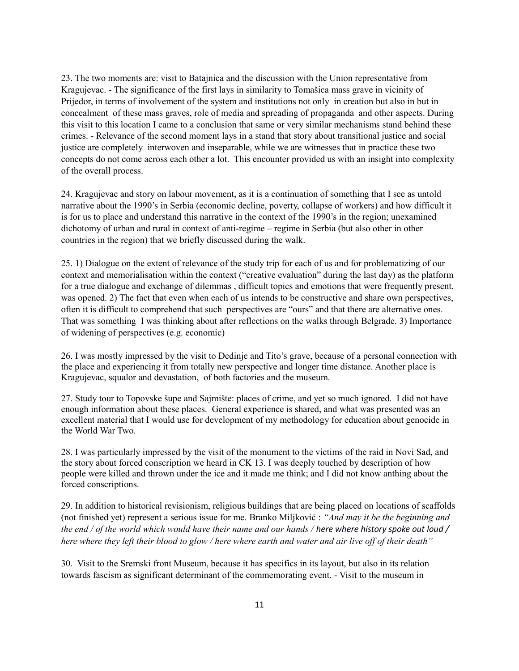23. The two moments are: visit to Batajnica and the discussion with the Union representative from Kragujevac. - The significance of the first lays in similarity to Tomašica mass grave in vicinity of Prijedor, in terms of involvement of the system and institutions not only in creation but also in but in concealment of these mass graves, role of media and spreading of propaganda and other aspects. During this visit to this location I came to a conclusion that same or very similar mechanisms stand behind these crimes. - Relevance of the second moment lays in a stand that story about transitional justice and social justice are completely interwoven and inseparable, while we are witnesses that in practice these two concepts do not come across each other a lot. This encounter provided us with an insight into complexity of the overall process.

24. Kragujevac and story on labour movement, as it is a continuation of something that I see as untold narrative about the 1990's in Serbia (economic decline, poverty, collapse of workers) and how difficult it is for us to place and understand this narrative in the context of the 1990's in the region; unexamined dichotomy of urban and rural in context of anti-regime – regime in Serbia (but also other in other countries in the region) that we briefly discussed during the walk.

25. 1) Dialogue on the extent of relevance of the study trip for each of us and for problematizing of our context and memorialisation within the context ("creative evaluation" during the last day) as the platform for a true dialogue and exchange of dilemmas , difficult topics and emotions that were frequently present, was opened. 2) The fact that even when each of us intends to be constructive and share own perspectives, often it is difficult to comprehend that such perspectives are "ours" and that there are alternative ones. That was something I was thinking about after reflections on the walks through Belgrade. 3) Importance of widening of perspectives (e.g. economic)

26. I was mostly impressed by the visit to Dedinje and Tito's grave, because of a personal connection with the place and experiencing it from totally new perspective and longer time distance. Another place is Kragujevac, squalor and devastation, of both factories and the museum.

27. Study tour to Topovske šupe and Sajmište: places of crime, and yet so much ignored. I did not have enough information about these places. General experience is shared, and what was presented was an excellent material that I would use for development of my methodology for education about genocide in the World War Two.

28. I was particularly impressed by the visit of the monument to the victims of the raid in Novi Sad, and the story about forced conscription we heard in CK 13. I was deeply touched by description of how people were killed and thrown under the ice and it made me think; and I did not know anthing about the forced conscriptions.

29. In addition to historical revisionism, religious buildings that are being placed on locations of scaffolds (not finished yet) represent a serious issue for me. Branko Miljković : *"And may it be the beginning and the end / of the world which would have their name and our hands / here where history spoke out loud / here where they left their blood to glow / here where earth and water and air live off of their death"*

30. Visit to the Sremski front Museum, because it has specifics in its layout, but also in its relation towards fascism as significant determinant of the commemorating event. - Visit to the museum in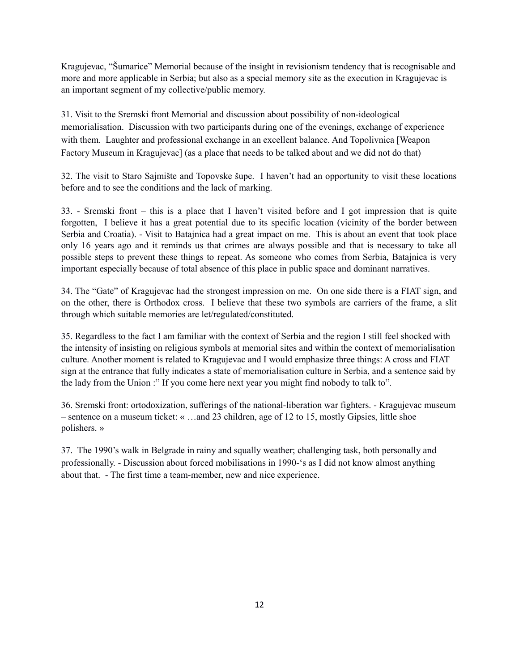Kragujevac, "Šumarice" Memorial because of the insight in revisionism tendency that is recognisable and more and more applicable in Serbia; but also as a special memory site as the execution in Kragujevac is an important segment of my collective/public memory.

31. Visit to the Sremski front Memorial and discussion about possibility of non-ideological memorialisation. Discussion with two participants during one of the evenings, exchange of experience with them. Laughter and professional exchange in an excellent balance. And Topolivnica [Weapon Factory Museum in Kragujevac] (as a place that needs to be talked about and we did not do that)

32. The visit to Staro Sajmište and Topovske šupe. I haven't had an opportunity to visit these locations before and to see the conditions and the lack of marking.

33. - Sremski front – this is a place that I haven't visited before and I got impression that is quite forgotten, I believe it has a great potential due to its specific location (vicinity of the border between Serbia and Croatia). - Visit to Batajnica had a great impact on me. This is about an event that took place only 16 years ago and it reminds us that crimes are always possible and that is necessary to take all possible steps to prevent these things to repeat. As someone who comes from Serbia, Batajnica is very important especially because of total absence of this place in public space and dominant narratives.

34. The "Gate" of Kragujevac had the strongest impression on me. On one side there is a FIAT sign, and on the other, there is Orthodox cross. I believe that these two symbols are carriers of the frame, a slit through which suitable memories are let/regulated/constituted.

35. Regardless to the fact I am familiar with the context of Serbia and the region I still feel shocked with the intensity of insisting on religious symbols at memorial sites and within the context of memorialisation culture. Another moment is related to Kragujevac and I would emphasize three things: A cross and FIAT sign at the entrance that fully indicates a state of memorialisation culture in Serbia, and a sentence said by the lady from the Union :" If you come here next year you might find nobody to talk to".

36. Sremski front: ortodoxization, sufferings of the national-liberation war fighters. - Kragujevac museum – sentence on a museum ticket: « …and 23 children, age of 12 to 15, mostly Gipsies, little shoe polishers. »

37. The 1990's walk in Belgrade in rainy and squally weather; challenging task, both personally and professionally. - Discussion about forced mobilisations in 1990-'s as I did not know almost anything about that. - The first time a team-member, new and nice experience.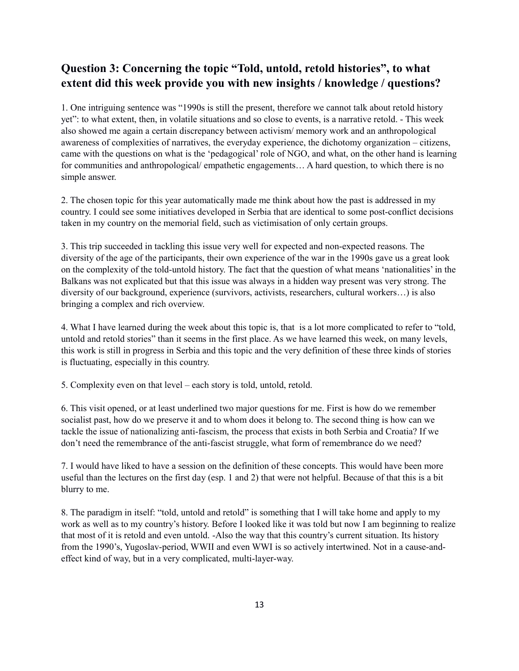### **Question 3: Concerning the topic "Told, untold, retold histories", to what extent did this week provide you with new insights / knowledge / questions?**

1. One intriguing sentence was "1990s is still the present, therefore we cannot talk about retold history yet": to what extent, then, in volatile situations and so close to events, is a narrative retold. - This week also showed me again a certain discrepancy between activism/ memory work and an anthropological awareness of complexities of narratives, the everyday experience, the dichotomy organization – citizens, came with the questions on what is the 'pedagogical' role of NGO, and what, on the other hand is learning for communities and anthropological/ empathetic engagements… A hard question, to which there is no simple answer.

2. The chosen topic for this year automatically made me think about how the past is addressed in my country. I could see some initiatives developed in Serbia that are identical to some post-conflict decisions taken in my country on the memorial field, such as victimisation of only certain groups.

3. This trip succeeded in tackling this issue very well for expected and non-expected reasons. The diversity of the age of the participants, their own experience of the war in the 1990s gave us a great look on the complexity of the told-untold history. The fact that the question of what means 'nationalities' in the Balkans was not explicated but that this issue was always in a hidden way present was very strong. The diversity of our background, experience (survivors, activists, researchers, cultural workers…) is also bringing a complex and rich overview.

4. What I have learned during the week about this topic is, that is a lot more complicated to refer to "told, untold and retold stories" than it seems in the first place. As we have learned this week, on many levels, this work is still in progress in Serbia and this topic and the very definition of these three kinds of stories is fluctuating, especially in this country.

5. Complexity even on that level – each story is told, untold, retold.

6. This visit opened, or at least underlined two major questions for me. First is how do we remember socialist past, how do we preserve it and to whom does it belong to. The second thing is how can we tackle the issue of nationalizing anti-fascism, the process that exists in both Serbia and Croatia? If we don't need the remembrance of the anti-fascist struggle, what form of remembrance do we need?

7. I would have liked to have a session on the definition of these concepts. This would have been more useful than the lectures on the first day (esp. 1 and 2) that were not helpful. Because of that this is a bit blurry to me.

8. The paradigm in itself: "told, untold and retold" is something that I will take home and apply to my work as well as to my country's history. Before I looked like it was told but now I am beginning to realize that most of it is retold and even untold. -Also the way that this country's current situation. Its history from the 1990's, Yugoslav-period, WWII and even WWI is so actively intertwined. Not in a cause-andeffect kind of way, but in a very complicated, multi-layer-way.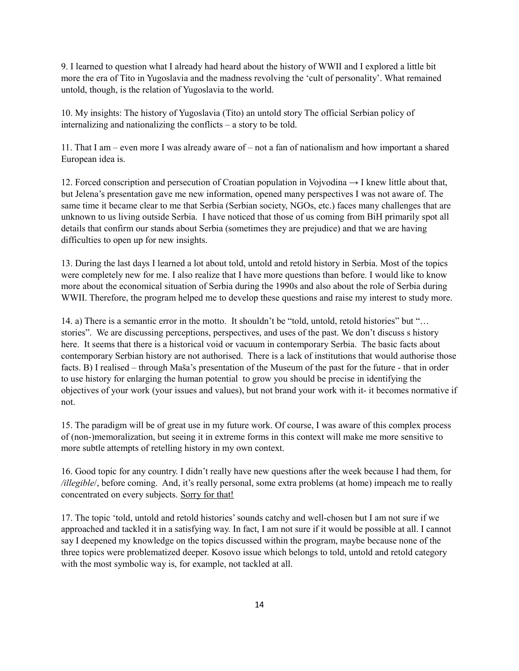9. I learned to question what I already had heard about the history of WWII and I explored a little bit more the era of Tito in Yugoslavia and the madness revolving the 'cult of personality'. What remained untold, though, is the relation of Yugoslavia to the world.

10. My insights: The history of Yugoslavia (Tito) an untold story The official Serbian policy of internalizing and nationalizing the conflicts – a story to be told.

11. That I am – even more I was already aware of – not a fan of nationalism and how important a shared European idea is.

12. Forced conscription and persecution of Croatian population in Vojvodina → I knew little about that, but Jelena's presentation gave me new information, opened many perspectives I was not aware of. The same time it became clear to me that Serbia (Serbian society, NGOs, etc.) faces many challenges that are unknown to us living outside Serbia. I have noticed that those of us coming from BiH primarily spot all details that confirm our stands about Serbia (sometimes they are prejudice) and that we are having difficulties to open up for new insights.

13. During the last days I learned a lot about told, untold and retold history in Serbia. Most of the topics were completely new for me. I also realize that I have more questions than before. I would like to know more about the economical situation of Serbia during the 1990s and also about the role of Serbia during WWII. Therefore, the program helped me to develop these questions and raise my interest to study more.

14. a) There is a semantic error in the motto. It shouldn't be "told, untold, retold histories" but "… stories". We are discussing perceptions, perspectives, and uses of the past. We don't discuss s history here. It seems that there is a historical void or vacuum in contemporary Serbia. The basic facts about contemporary Serbian history are not authorised. There is a lack of institutions that would authorise those facts. B) I realised – through Maša's presentation of the Museum of the past for the future - that in order to use history for enlarging the human potential to grow you should be precise in identifying the objectives of your work (your issues and values), but not brand your work with it- it becomes normative if not.

15. The paradigm will be of great use in my future work. Of course, I was aware of this complex process of (non-)memoralization, but seeing it in extreme forms in this context will make me more sensitive to more subtle attempts of retelling history in my own context.

16. Good topic for any country. I didn't really have new questions after the week because I had them, for */illegible*/, before coming. And, it's really personal, some extra problems (at home) impeach me to really concentrated on every subjects. Sorry for that!

17. The topic 'told, untold and retold histories' sounds catchy and well-chosen but I am not sure if we approached and tackled it in a satisfying way. In fact, I am not sure if it would be possible at all. I cannot say I deepened my knowledge on the topics discussed within the program, maybe because none of the three topics were problematized deeper. Kosovo issue which belongs to told, untold and retold category with the most symbolic way is, for example, not tackled at all.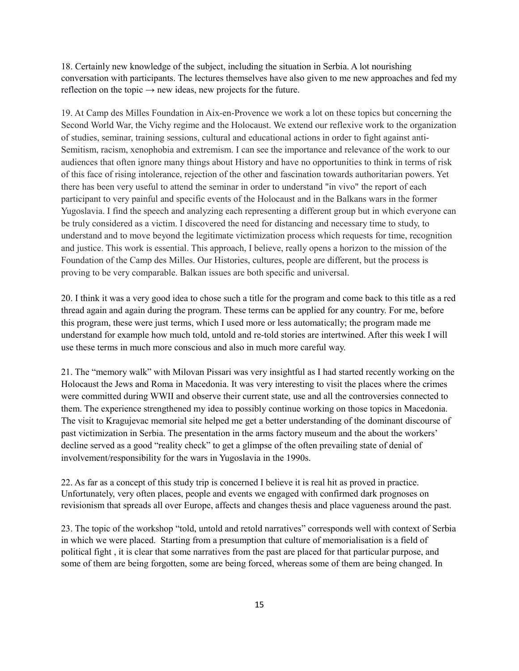18. Certainly new knowledge of the subject, including the situation in Serbia. A lot nourishing conversation with participants. The lectures themselves have also given to me new approaches and fed my reflection on the topic  $\rightarrow$  new ideas, new projects for the future.

19. At Camp des Milles Foundation in Aix-en-Provence we work a lot on these topics but concerning the Second World War, the Vichy regime and the Holocaust. We extend our reflexive work to the organization of studies, seminar, training sessions, cultural and educational actions in order to fight against anti-Semitism, racism, xenophobia and extremism. I can see the importance and relevance of the work to our audiences that often ignore many things about History and have no opportunities to think in terms of risk of this face of rising intolerance, rejection of the other and fascination towards authoritarian powers. Yet there has been very useful to attend the seminar in order to understand "in vivo" the report of each participant to very painful and specific events of the Holocaust and in the Balkans wars in the former Yugoslavia. I find the speech and analyzing each representing a different group but in which everyone can be truly considered as a victim. I discovered the need for distancing and necessary time to study, to understand and to move beyond the legitimate victimization process which requests for time, recognition and justice. This work is essential. This approach, I believe, really opens a horizon to the mission of the Foundation of the Camp des Milles. Our Histories, cultures, people are different, but the process is proving to be very comparable. Balkan issues are both specific and universal.

20. I think it was a very good idea to chose such a title for the program and come back to this title as a red thread again and again during the program. These terms can be applied for any country. For me, before this program, these were just terms, which I used more or less automatically; the program made me understand for example how much told, untold and re-told stories are intertwined. After this week I will use these terms in much more conscious and also in much more careful way.

21. The "memory walk" with Milovan Pissari was very insightful as I had started recently working on the Holocaust the Jews and Roma in Macedonia. It was very interesting to visit the places where the crimes were committed during WWII and observe their current state, use and all the controversies connected to them. The experience strengthened my idea to possibly continue working on those topics in Macedonia. The visit to Kragujevac memorial site helped me get a better understanding of the dominant discourse of past victimization in Serbia. The presentation in the arms factory museum and the about the workers' decline served as a good "reality check" to get a glimpse of the often prevailing state of denial of involvement/responsibility for the wars in Yugoslavia in the 1990s.

22. As far as a concept of this study trip is concerned I believe it is real hit as proved in practice. Unfortunately, very often places, people and events we engaged with confirmed dark prognoses on revisionism that spreads all over Europe, affects and changes thesis and place vagueness around the past.

23. The topic of the workshop "told, untold and retold narratives" corresponds well with context of Serbia in which we were placed. Starting from a presumption that culture of memorialisation is a field of political fight , it is clear that some narratives from the past are placed for that particular purpose, and some of them are being forgotten, some are being forced, whereas some of them are being changed. In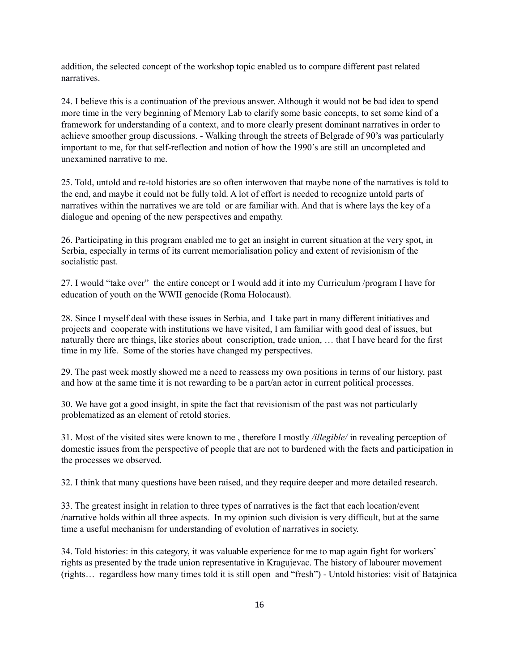addition, the selected concept of the workshop topic enabled us to compare different past related narratives.

24. I believe this is a continuation of the previous answer. Although it would not be bad idea to spend more time in the very beginning of Memory Lab to clarify some basic concepts, to set some kind of a framework for understanding of a context, and to more clearly present dominant narratives in order to achieve smoother group discussions. - Walking through the streets of Belgrade of 90's was particularly important to me, for that self-reflection and notion of how the 1990's are still an uncompleted and unexamined narrative to me.

25. Told, untold and re-told histories are so often interwoven that maybe none of the narratives is told to the end, and maybe it could not be fully told. A lot of effort is needed to recognize untold parts of narratives within the narratives we are told or are familiar with. And that is where lays the key of a dialogue and opening of the new perspectives and empathy.

26. Participating in this program enabled me to get an insight in current situation at the very spot, in Serbia, especially in terms of its current memorialisation policy and extent of revisionism of the socialistic past.

27. I would "take over" the entire concept or I would add it into my Curriculum /program I have for education of youth on the WWII genocide (Roma Holocaust).

28. Since I myself deal with these issues in Serbia, and I take part in many different initiatives and projects and cooperate with institutions we have visited, I am familiar with good deal of issues, but naturally there are things, like stories about conscription, trade union, … that I have heard for the first time in my life. Some of the stories have changed my perspectives.

29. The past week mostly showed me a need to reassess my own positions in terms of our history, past and how at the same time it is not rewarding to be a part/an actor in current political processes.

30. We have got a good insight, in spite the fact that revisionism of the past was not particularly problematized as an element of retold stories.

31. Most of the visited sites were known to me , therefore I mostly */illegible/* in revealing perception of domestic issues from the perspective of people that are not to burdened with the facts and participation in the processes we observed.

32. I think that many questions have been raised, and they require deeper and more detailed research.

33. The greatest insight in relation to three types of narratives is the fact that each location/event /narrative holds within all three aspects. In my opinion such division is very difficult, but at the same time a useful mechanism for understanding of evolution of narratives in society.

34. Told histories: in this category, it was valuable experience for me to map again fight for workers' rights as presented by the trade union representative in Kragujevac. The history of labourer movement (rights… regardless how many times told it is still open and "fresh") - Untold histories: visit of Batajnica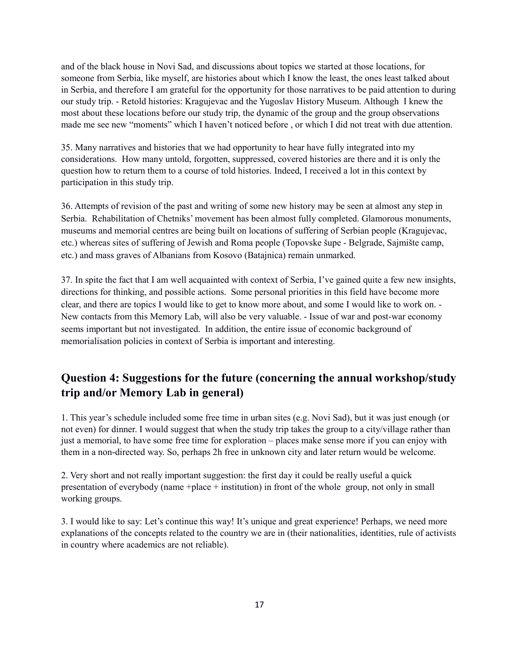and of the black house in Novi Sad, and discussions about topics we started at those locations, for someone from Serbia, like myself, are histories about which I know the least, the ones least talked about in Serbia, and therefore I am grateful for the opportunity for those narratives to be paid attention to during our study trip. - Retold histories: Kragujevac and the Yugoslav History Museum. Although I knew the most about these locations before our study trip, the dynamic of the group and the group observations made me see new "moments" which I haven't noticed before , or which I did not treat with due attention.

35. Many narratives and histories that we had opportunity to hear have fully integrated into my considerations. How many untold, forgotten, suppressed, covered histories are there and it is only the question how to return them to a course of told histories. Indeed, I received a lot in this context by participation in this study trip.

36. Attempts of revision of the past and writing of some new history may be seen at almost any step in Serbia. Rehabilitation of Chetniks' movement has been almost fully completed. Glamorous monuments, museums and memorial centres are being built on locations of suffering of Serbian people (Kragujevac, etc.) whereas sites of suffering of Jewish and Roma people (Topovske šupe - Belgrade, Sajmište camp, etc.) and mass graves of Albanians from Kosovo (Batajnica) remain unmarked.

37. In spite the fact that I am well acquainted with context of Serbia, I've gained quite a few new insights, directions for thinking, and possible actions. Some personal priorities in this field have become more clear, and there are topics I would like to get to know more about, and some I would like to work on. - New contacts from this Memory Lab, will also be very valuable. - Issue of war and post-war economy seems important but not investigated. In addition, the entire issue of economic background of memorialisation policies in context of Serbia is important and interesting.

#### **Question 4: Suggestions for the future (concerning the annual workshop/study trip and/or Memory Lab in general)**

1. This year's schedule included some free time in urban sites (e.g. Novi Sad), but it was just enough (or not even) for dinner. I would suggest that when the study trip takes the group to a city/village rather than just a memorial, to have some free time for exploration – places make sense more if you can enjoy with them in a non-directed way. So, perhaps 2h free in unknown city and later return would be welcome.

2. Very short and not really important suggestion: the first day it could be really useful a quick presentation of everybody (name +place + institution) in front of the whole group, not only in small working groups.

3. I would like to say: Let's continue this way! It's unique and great experience! Perhaps, we need more explanations of the concepts related to the country we are in (their nationalities, identities, rule of activists in country where academics are not reliable).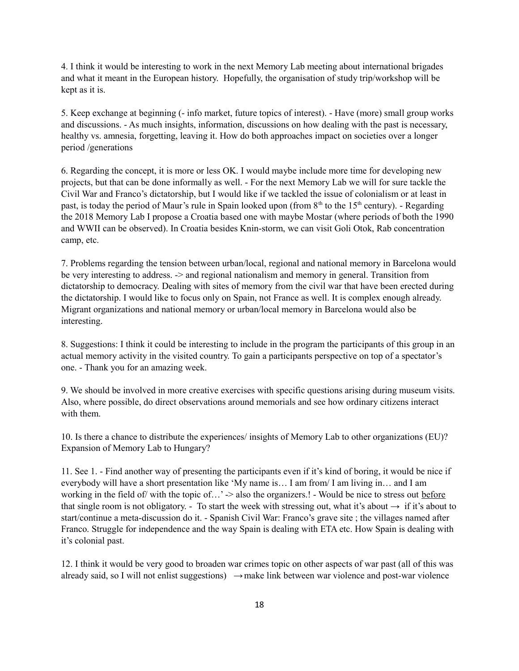4. I think it would be interesting to work in the next Memory Lab meeting about international brigades and what it meant in the European history. Hopefully, the organisation of study trip/workshop will be kept as it is.

5. Keep exchange at beginning (- info market, future topics of interest). - Have (more) small group works and discussions. - As much insights, information, discussions on how dealing with the past is necessary, healthy vs. amnesia, forgetting, leaving it. How do both approaches impact on societies over a longer period /generations

6. Regarding the concept, it is more or less OK. I would maybe include more time for developing new projects, but that can be done informally as well. - For the next Memory Lab we will for sure tackle the Civil War and Franco's dictatorship, but I would like if we tackled the issue of colonialism or at least in past, is today the period of Maur's rule in Spain looked upon (from  $8<sup>th</sup>$  to the 15<sup>th</sup> century). - Regarding the 2018 Memory Lab I propose a Croatia based one with maybe Mostar (where periods of both the 1990 and WWII can be observed). In Croatia besides Knin-storm, we can visit Goli Otok, Rab concentration camp, etc.

7. Problems regarding the tension between urban/local, regional and national memory in Barcelona would be very interesting to address. -> and regional nationalism and memory in general. Transition from dictatorship to democracy. Dealing with sites of memory from the civil war that have been erected during the dictatorship. I would like to focus only on Spain, not France as well. It is complex enough already. Migrant organizations and national memory or urban/local memory in Barcelona would also be interesting.

8. Suggestions: I think it could be interesting to include in the program the participants of this group in an actual memory activity in the visited country. To gain a participants perspective on top of a spectator's one. - Thank you for an amazing week.

9. We should be involved in more creative exercises with specific questions arising during museum visits. Also, where possible, do direct observations around memorials and see how ordinary citizens interact with them.

10. Is there a chance to distribute the experiences/ insights of Memory Lab to other organizations (EU)? Expansion of Memory Lab to Hungary?

11. See 1. - Find another way of presenting the participants even if it's kind of boring, it would be nice if everybody will have a short presentation like 'My name is… I am from/ I am living in… and I am working in the field of/ with the topic of...'  $\geq$  also the organizers.! - Would be nice to stress out before that single room is not obligatory. - To start the week with stressing out, what it's about  $\rightarrow$  if it's about to start/continue a meta-discussion do it. - Spanish Civil War: Franco's grave site ; the villages named after Franco. Struggle for independence and the way Spain is dealing with ETA etc. How Spain is dealing with it's colonial past.

12. I think it would be very good to broaden war crimes topic on other aspects of war past (all of this was already said, so I will not enlist suggestions)  $\rightarrow$  make link between war violence and post-war violence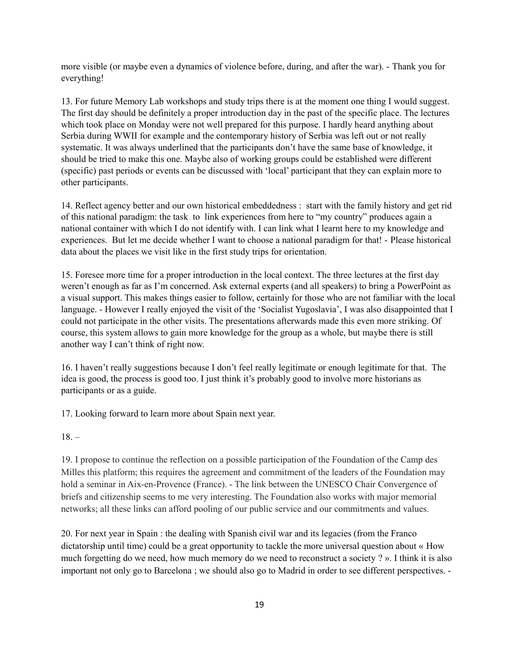more visible (or maybe even a dynamics of violence before, during, and after the war). - Thank you for everything!

13. For future Memory Lab workshops and study trips there is at the moment one thing I would suggest. The first day should be definitely a proper introduction day in the past of the specific place. The lectures which took place on Monday were not well prepared for this purpose. I hardly heard anything about Serbia during WWII for example and the contemporary history of Serbia was left out or not really systematic. It was always underlined that the participants don't have the same base of knowledge, it should be tried to make this one. Maybe also of working groups could be established were different (specific) past periods or events can be discussed with 'local' participant that they can explain more to other participants.

14. Reflect agency better and our own historical embeddedness : start with the family history and get rid of this national paradigm: the task to link experiences from here to "my country" produces again a national container with which I do not identify with. I can link what I learnt here to my knowledge and experiences. But let me decide whether I want to choose a national paradigm for that! - Please historical data about the places we visit like in the first study trips for orientation.

15. Foresee more time for a proper introduction in the local context. The three lectures at the first day weren't enough as far as I'm concerned. Ask external experts (and all speakers) to bring a PowerPoint as a visual support. This makes things easier to follow, certainly for those who are not familiar with the local language. - However I really enjoyed the visit of the 'Socialist Yugoslavia', I was also disappointed that I could not participate in the other visits. The presentations afterwards made this even more striking. Of course, this system allows to gain more knowledge for the group as a whole, but maybe there is still another way I can't think of right now.

16. I haven't really suggestions because I don't feel really legitimate or enough legitimate for that. The idea is good, the process is good too. I just think it's probably good to involve more historians as participants or as a guide.

17. Looking forward to learn more about Spain next year.

 $18. -$ 

19. I propose to continue the reflection on a possible participation of the Foundation of the Camp des Milles this platform; this requires the agreement and commitment of the leaders of the Foundation may hold a seminar in Aix-en-Provence (France). - The link between the UNESCO Chair Convergence of briefs and citizenship seems to me very interesting. The Foundation also works with major memorial networks; all these links can afford pooling of our public service and our commitments and values.

20. For next year in Spain : the dealing with Spanish civil war and its legacies (from the Franco dictatorship until time) could be a great opportunity to tackle the more universal question about « How much forgetting do we need, how much memory do we need to reconstruct a society ? ». I think it is also important not only go to Barcelona ; we should also go to Madrid in order to see different perspectives. -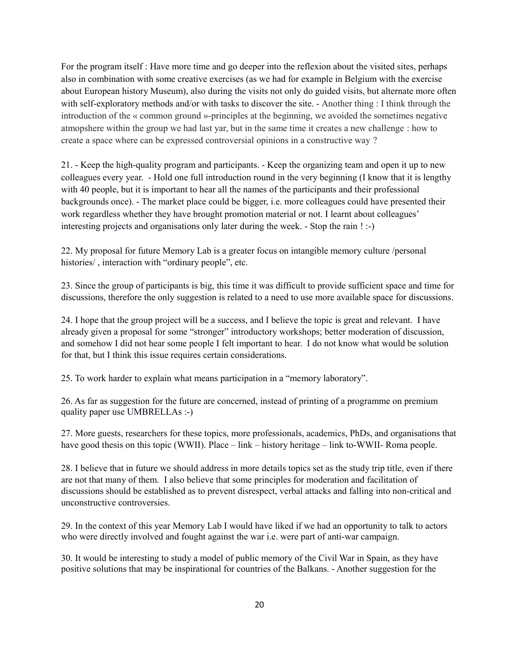For the program itself : Have more time and go deeper into the reflexion about the visited sites, perhaps also in combination with some creative exercises (as we had for example in Belgium with the exercise about European history Museum), also during the visits not only do guided visits, but alternate more often with self-exploratory methods and/or with tasks to discover the site. - Another thing : I think through the introduction of the « common ground »-principles at the beginning, we avoided the sometimes negative atmopshere within the group we had last yar, but in the same time it creates a new challenge : how to create a space where can be expressed controversial opinions in a constructive way ?

21. - Keep the high-quality program and participants. - Keep the organizing team and open it up to new colleagues every year. - Hold one full introduction round in the very beginning (I know that it is lengthy with 40 people, but it is important to hear all the names of the participants and their professional backgrounds once). - The market place could be bigger, i.e. more colleagues could have presented their work regardless whether they have brought promotion material or not. I learnt about colleagues' interesting projects and organisations only later during the week. - Stop the rain ! :-)

22. My proposal for future Memory Lab is a greater focus on intangible memory culture /personal histories/ , interaction with "ordinary people", etc.

23. Since the group of participants is big, this time it was difficult to provide sufficient space and time for discussions, therefore the only suggestion is related to a need to use more available space for discussions.

24. I hope that the group project will be a success, and I believe the topic is great and relevant. I have already given a proposal for some "stronger" introductory workshops; better moderation of discussion, and somehow I did not hear some people I felt important to hear. I do not know what would be solution for that, but I think this issue requires certain considerations.

25. To work harder to explain what means participation in a "memory laboratory".

26. As far as suggestion for the future are concerned, instead of printing of a programme on premium quality paper use UMBRELLAs :-)

27. More guests, researchers for these topics, more professionals, academics, PhDs, and organisations that have good thesis on this topic (WWII). Place – link – history heritage – link to-WWII- Roma people.

28. I believe that in future we should address in more details topics set as the study trip title, even if there are not that many of them. I also believe that some principles for moderation and facilitation of discussions should be established as to prevent disrespect, verbal attacks and falling into non-critical and unconstructive controversies.

29. In the context of this year Memory Lab I would have liked if we had an opportunity to talk to actors who were directly involved and fought against the war i.e. were part of anti-war campaign.

30. It would be interesting to study a model of public memory of the Civil War in Spain, as they have positive solutions that may be inspirational for countries of the Balkans. - Another suggestion for the